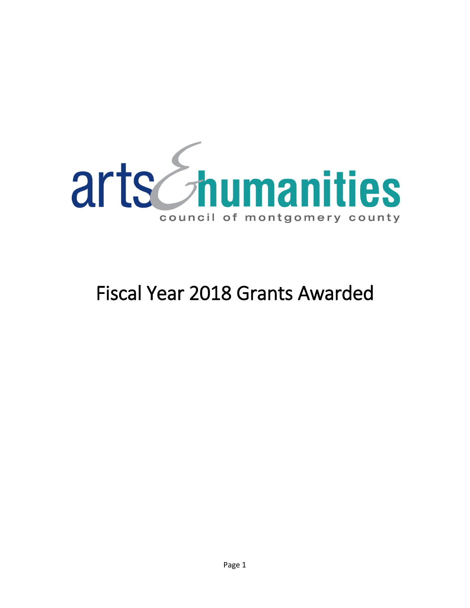

# Fiscal Year 2018 Grants Awarded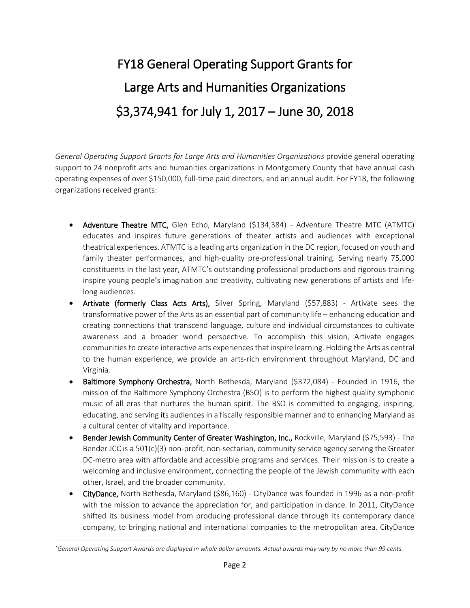# FY18 General Operating Support Grants for Large Arts and Humanities Organizations \$3,374,941 for July 1, 2017 – June 30, 2018

*General Operating Support Grants for Large Arts and Humanities Organizations* provide general operating support to 24 nonprofit arts and humanities organizations in Montgomery County that have annual cash operating expenses of over \$150,000, full-time paid directors, and an annual audit. For FY18, the following organizations received grants:

- Adventure Theatre MTC, Glen Echo, Maryland (\$134,384) Adventure Theatre MTC (ATMTC) educates and inspires future generations of theater artists and audiences with exceptional theatrical experiences. ATMTC is a leading arts organization in the DC region, focused on youth and family theater performances, and high-quality pre-professional training. Serving nearly 75,000 constituents in the last year, ATMTC's outstanding professional productions and rigorous training inspire young people's imagination and creativity, cultivating new generations of artists and lifelong audiences.
- Artivate (formerly Class Acts Arts), Silver Spring, Maryland (\$57,883) Artivate sees the transformative power of the Arts as an essential part of community life – enhancing education and creating connections that transcend language, culture and individual circumstances to cultivate awareness and a broader world perspective. To accomplish this vision, Artivate engages communities to create interactive arts experiences that inspire learning. Holding the Arts as central to the human experience, we provide an arts-rich environment throughout Maryland, DC and Virginia.
- Baltimore Symphony Orchestra, North Bethesda, Maryland (\$372,084) Founded in 1916, the mission of the Baltimore Symphony Orchestra (BSO) is to perform the highest quality symphonic music of all eras that nurtures the human spirit. The BSO is committed to engaging, inspiring, educating, and serving its audiences in a fiscally responsible manner and to enhancing Maryland as a cultural center of vitality and importance.
- Bender Jewish Community Center of Greater Washington, Inc., Rockville, Maryland (\$75,593) The Bender JCC is a 501(c)(3) non-profit, non-sectarian, community service agency serving the Greater DC-metro area with affordable and accessible programs and services. Their mission is to create a welcoming and inclusive environment, connecting the people of the Jewish community with each other, Israel, and the broader community.
- CityDance, North Bethesda, Maryland (\$86,160) CityDance was founded in 1996 as a non-profit with the mission to advance the appreciation for, and participation in dance. In 2011, CityDance shifted its business model from producing professional dance through its contemporary dance company, to bringing national and international companies to the metropolitan area. CityDance

 $\overline{a}$ 

*<sup>\*</sup>General Operating Support Awards are displayed in whole dollar amounts. Actual awards may vary by no more than 99 cents.*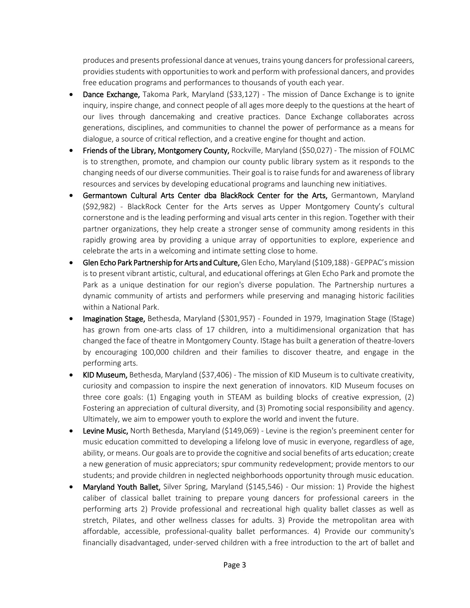produces and presents professional dance at venues, trains young dancers for professional careers, providies students with opportunities to work and perform with professional dancers, and provides free education programs and performances to thousands of youth each year.

- Dance Exchange, Takoma Park, Maryland (\$33,127) The mission of Dance Exchange is to ignite inquiry, inspire change, and connect people of all ages more deeply to the questions at the heart of our lives through dancemaking and creative practices. Dance Exchange collaborates across generations, disciplines, and communities to channel the power of performance as a means for dialogue, a source of critical reflection, and a creative engine for thought and action.
- Friends of the Library, Montgomery County, Rockville, Maryland (\$50,027) The mission of FOLMC is to strengthen, promote, and champion our county public library system as it responds to the changing needs of our diverse communities. Their goal is to raise funds for and awareness of library resources and services by developing educational programs and launching new initiatives.
- Germantown Cultural Arts Center dba BlackRock Center for the Arts, Germantown, Maryland (\$92,982) - BlackRock Center for the Arts serves as Upper Montgomery County's cultural cornerstone and is the leading performing and visual arts center in this region. Together with their partner organizations, they help create a stronger sense of community among residents in this rapidly growing area by providing a unique array of opportunities to explore, experience and celebrate the arts in a welcoming and intimate setting close to home.
- Glen Echo Park Partnership for Arts and Culture, Glen Echo, Maryland (\$109,188) GEPPAC's mission is to present vibrant artistic, cultural, and educational offerings at Glen Echo Park and promote the Park as a unique destination for our region's diverse population. The Partnership nurtures a dynamic community of artists and performers while preserving and managing historic facilities within a National Park.
- Imagination Stage, Bethesda, Maryland (\$301,957) Founded in 1979, Imagination Stage (IStage) has grown from one-arts class of 17 children, into a multidimensional organization that has changed the face of theatre in Montgomery County. IStage has built a generation of theatre-lovers by encouraging 100,000 children and their families to discover theatre, and engage in the performing arts.
- KID Museum, Bethesda, Maryland (\$37,406) The mission of KID Museum is to cultivate creativity, curiosity and compassion to inspire the next generation of innovators. KID Museum focuses on three core goals: (1) Engaging youth in STEAM as building blocks of creative expression, (2) Fostering an appreciation of cultural diversity, and (3) Promoting social responsibility and agency. Ultimately, we aim to empower youth to explore the world and invent the future.
- Levine Music, North Bethesda, Maryland (\$149,069) Levine is the region's preeminent center for music education committed to developing a lifelong love of music in everyone, regardless of age, ability, or means. Our goals are to provide the cognitive and social benefits of arts education; create a new generation of music appreciators; spur community redevelopment; provide mentors to our students; and provide children in neglected neighborhoods opportunity through music education.
- Maryland Youth Ballet, Silver Spring, Maryland (\$145,546) Our mission: 1) Provide the highest caliber of classical ballet training to prepare young dancers for professional careers in the performing arts 2) Provide professional and recreational high quality ballet classes as well as stretch, Pilates, and other wellness classes for adults. 3) Provide the metropolitan area with affordable, accessible, professional-quality ballet performances. 4) Provide our community's financially disadvantaged, under-served children with a free introduction to the art of ballet and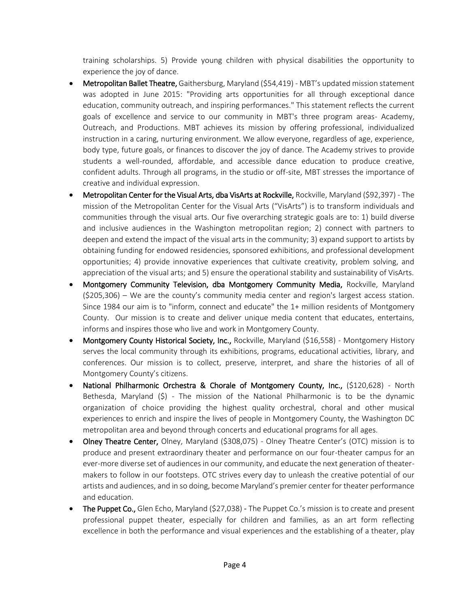training scholarships. 5) Provide young children with physical disabilities the opportunity to experience the joy of dance.

- Metropolitan Ballet Theatre, Gaithersburg, Maryland (\$54,419) MBT's updated mission statement was adopted in June 2015: "Providing arts opportunities for all through exceptional dance education, community outreach, and inspiring performances." This statement reflects the current goals of excellence and service to our community in MBT's three program areas- Academy, Outreach, and Productions. MBT achieves its mission by offering professional, individualized instruction in a caring, nurturing environment. We allow everyone, regardless of age, experience, body type, future goals, or finances to discover the joy of dance. The Academy strives to provide students a well-rounded, affordable, and accessible dance education to produce creative, confident adults. Through all programs, in the studio or off-site, MBT stresses the importance of creative and individual expression.
- Metropolitan Center for the Visual Arts, dba VisArts at Rockville, Rockville, Maryland (\$92,397) The mission of the Metropolitan Center for the Visual Arts ("VisArts") is to transform individuals and communities through the visual arts. Our five overarching strategic goals are to: 1) build diverse and inclusive audiences in the Washington metropolitan region; 2) connect with partners to deepen and extend the impact of the visual arts in the community; 3) expand support to artists by obtaining funding for endowed residencies, sponsored exhibitions, and professional development opportunities; 4) provide innovative experiences that cultivate creativity, problem solving, and appreciation of the visual arts; and 5) ensure the operational stability and sustainability of VisArts.
- Montgomery Community Television, dba Montgomery Community Media, Rockville, Maryland (\$205,306) – We are the county's community media center and region's largest access station. Since 1984 our aim is to "inform, connect and educate" the 1+ million residents of Montgomery County. Our mission is to create and deliver unique media content that educates, entertains, informs and inspires those who live and work in Montgomery County.
- Montgomery County Historical Society, Inc., Rockville, Maryland (\$16,558) Montgomery History serves the local community through its exhibitions, programs, educational activities, library, and conferences. Our mission is to collect, preserve, interpret, and share the histories of all of Montgomery County's citizens.
- National Philharmonic Orchestra & Chorale of Montgomery County, Inc., (\$120,628) North Bethesda, Maryland (\$) - The mission of the National Philharmonic is to be the dynamic organization of choice providing the highest quality orchestral, choral and other musical experiences to enrich and inspire the lives of people in Montgomery County, the Washington DC metropolitan area and beyond through concerts and educational programs for all ages.
- Olney Theatre Center, Olney, Maryland (\$308,075) Olney Theatre Center's (OTC) mission is to produce and present extraordinary theater and performance on our four-theater campus for an ever-more diverse set of audiences in our community, and educate the next generation of theatermakers to follow in our footsteps. OTC strives every day to unleash the creative potential of our artists and audiences, and in so doing, become Maryland's premier center for theater performance and education.
- The Puppet Co., Glen Echo, Maryland (\$27,038) The Puppet Co.'s mission is to create and present professional puppet theater, especially for children and families, as an art form reflecting excellence in both the performance and visual experiences and the establishing of a theater, play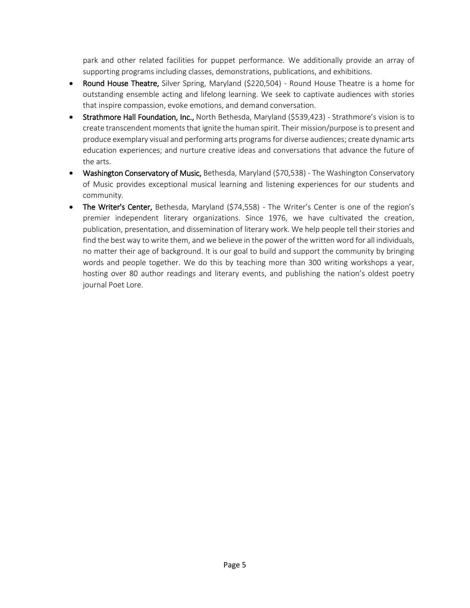park and other related facilities for puppet performance. We additionally provide an array of supporting programs including classes, demonstrations, publications, and exhibitions.

- Round House Theatre, Silver Spring, Maryland (\$220,504) Round House Theatre is a home for outstanding ensemble acting and lifelong learning. We seek to captivate audiences with stories that inspire compassion, evoke emotions, and demand conversation.
- Strathmore Hall Foundation, Inc., North Bethesda, Maryland (\$539,423) Strathmore's vision is to create transcendent moments that ignite the human spirit. Their mission/purpose is to present and produce exemplary visual and performing arts programs for diverse audiences; create dynamic arts education experiences; and nurture creative ideas and conversations that advance the future of the arts.
- Washington Conservatory of Music, Bethesda, Maryland (\$70,538) The Washington Conservatory of Music provides exceptional musical learning and listening experiences for our students and community.
- The Writer's Center, Bethesda, Maryland (\$74,558) The Writer's Center is one of the region's premier independent literary organizations. Since 1976, we have cultivated the creation, publication, presentation, and dissemination of literary work. We help people tell their stories and find the best way to write them, and we believe in the power of the written word for all individuals, no matter their age of background. It is our goal to build and support the community by bringing words and people together. We do this by teaching more than 300 writing workshops a year, hosting over 80 author readings and literary events, and publishing the nation's oldest poetry journal Poet Lore.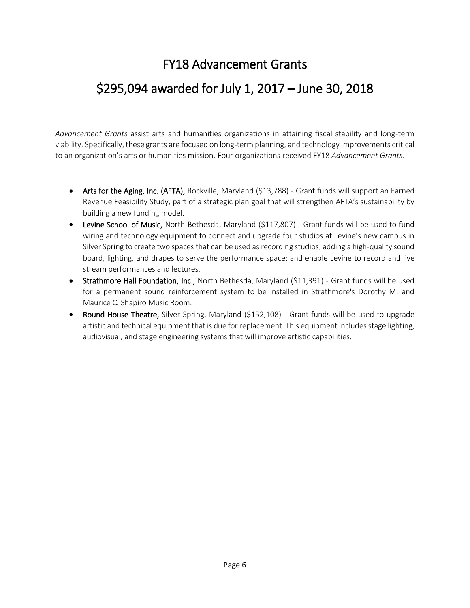#### FY18 Advancement Grants

#### \$295,094 awarded for July 1, 2017 – June 30, 2018

*Advancement Grants* assist arts and humanities organizations in attaining fiscal stability and long-term viability. Specifically, these grants are focused on long-term planning, and technology improvements critical to an organization's arts or humanities mission. Four organizations received FY18 *Advancement Grants*.

- Arts for the Aging, Inc. (AFTA), Rockville, Maryland (\$13,788) Grant funds will support an Earned Revenue Feasibility Study, part of a strategic plan goal that will strengthen AFTA's sustainability by building a new funding model.
- Levine School of Music, North Bethesda, Maryland (\$117,807) Grant funds will be used to fund wiring and technology equipment to connect and upgrade four studios at Levine's new campus in Silver Spring to create two spaces that can be used as recording studios; adding a high-quality sound board, lighting, and drapes to serve the performance space; and enable Levine to record and live stream performances and lectures.
- **Strathmore Hall Foundation, Inc.,** North Bethesda, Maryland (\$11,391) Grant funds will be used for a permanent sound reinforcement system to be installed in Strathmore's Dorothy M. and Maurice C. Shapiro Music Room.
- Round House Theatre, Silver Spring, Maryland (\$152,108) Grant funds will be used to upgrade artistic and technical equipment that is due for replacement. This equipment includes stage lighting, audiovisual, and stage engineering systems that will improve artistic capabilities.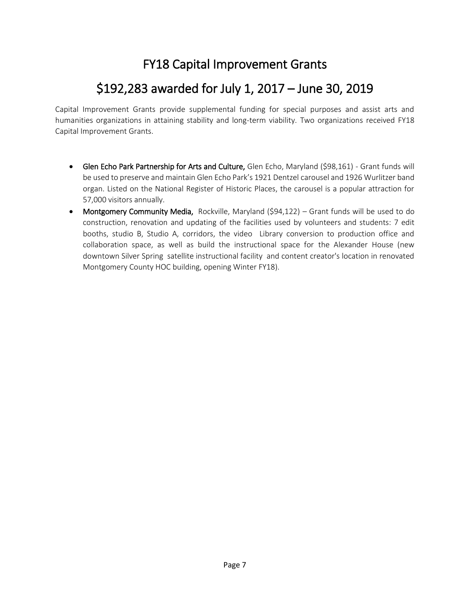#### FY18 Capital Improvement Grants

#### \$192,283 awarded for July 1, 2017 – June 30, 2019

Capital Improvement Grants provide supplemental funding for special purposes and assist arts and humanities organizations in attaining stability and long-term viability. Two organizations received FY18 Capital Improvement Grants.

- Glen Echo Park Partnership for Arts and Culture, Glen Echo, Maryland (\$98,161) Grant funds will be used to preserve and maintain Glen Echo Park's 1921 Dentzel carousel and 1926 Wurlitzer band organ. Listed on the National Register of Historic Places, the carousel is a popular attraction for 57,000 visitors annually.
- Montgomery Community Media, Rockville, Maryland (\$94,122) Grant funds will be used to do construction, renovation and updating of the facilities used by volunteers and students: 7 edit booths, studio B, Studio A, corridors, the video Library conversion to production office and collaboration space, as well as build the instructional space for the Alexander House (new downtown Silver Spring satellite instructional facility and content creator's location in renovated Montgomery County HOC building, opening Winter FY18).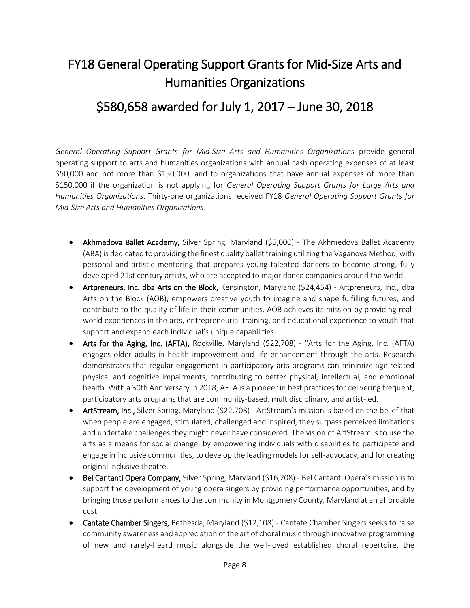### FY18 General Operating Support Grants for Mid-Size Arts and Humanities Organizations

#### \$580,658 awarded for July 1, 2017 – June 30, 2018

*General Operating Support Grants for Mid-Size Arts and Humanities Organizations* provide general operating support to arts and humanities organizations with annual cash operating expenses of at least \$50,000 and not more than \$150,000, and to organizations that have annual expenses of more than \$150,000 if the organization is not applying for *General Operating Support Grants for Large Arts and Humanities Organizations*. Thirty-one organizations received FY18 *General Operating Support Grants for Mid-Size Arts and Humanities Organizations*.

- Akhmedova Ballet Academy, Silver Spring, Maryland (\$5,000) The Akhmedova Ballet Academy (ABA) is dedicated to providing the finest quality ballet training utilizing the Vaganova Method, with personal and artistic mentoring that prepares young talented dancers to become strong, fully developed 21st century artists, who are accepted to major dance companies around the world.
- Artpreneurs, Inc. dba Arts on the Block, Kensington, Maryland (\$24,454) Artpreneurs, Inc., dba Arts on the Block (AOB), empowers creative youth to imagine and shape fulfilling futures, and contribute to the quality of life in their communities. AOB achieves its mission by providing realworld experiences in the arts, entrepreneurial training, and educational experience to youth that support and expand each individual's unique capabilities.
- Arts for the Aging, Inc. (AFTA), Rockville, Maryland (\$22,708) "Arts for the Aging, Inc. (AFTA) engages older adults in health improvement and life enhancement through the arts. Research demonstrates that regular engagement in participatory arts programs can minimize age-related physical and cognitive impairments, contributing to better physical, intellectual, and emotional health. With a 30th Anniversary in 2018, AFTA is a pioneer in best practices for delivering frequent, participatory arts programs that are community-based, multidisciplinary, and artist-led.
- ArtStream, Inc., Silver Spring, Maryland (\$22,708) ArtStream's mission is based on the belief that when people are engaged, stimulated, challenged and inspired, they surpass perceived limitations and undertake challenges they might never have considered. The vision of ArtStream is to use the arts as a means for social change, by empowering individuals with disabilities to participate and engage in inclusive communities, to develop the leading models for self-advocacy, and for creating original inclusive theatre.
- Bel Cantanti Opera Company, Silver Spring, Maryland (\$16,208) Bel Cantanti Opera's mission is to support the development of young opera singers by providing performance opportunities, and by bringing those performances to the community in Montgomery County, Maryland at an affordable cost.
- **Cantate Chamber Singers,** Bethesda, Maryland (\$12,108) Cantate Chamber Singers seeks to raise community awareness and appreciation of the art of choral music through innovative programming of new and rarely-heard music alongside the well-loved established choral repertoire, the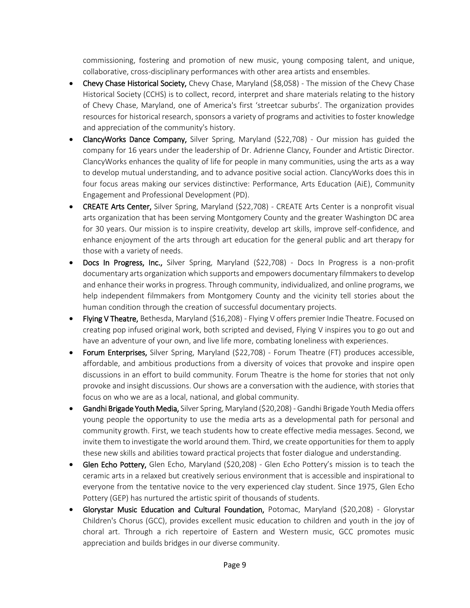commissioning, fostering and promotion of new music, young composing talent, and unique, collaborative, cross-disciplinary performances with other area artists and ensembles.

- Chevy Chase Historical Society, Chevy Chase, Maryland (\$8,058) The mission of the Chevy Chase Historical Society (CCHS) is to collect, record, interpret and share materials relating to the history of Chevy Chase, Maryland, one of America's first 'streetcar suburbs'. The organization provides resources for historical research, sponsors a variety of programs and activities to foster knowledge and appreciation of the community's history.
- ClancyWorks Dance Company, Silver Spring, Maryland (\$22,708) Our mission has guided the company for 16 years under the leadership of Dr. Adrienne Clancy, Founder and Artistic Director. ClancyWorks enhances the quality of life for people in many communities, using the arts as a way to develop mutual understanding, and to advance positive social action. ClancyWorks does this in four focus areas making our services distinctive: Performance, Arts Education (AiE), Community Engagement and Professional Development (PD).
- CREATE Arts Center, Silver Spring, Maryland (\$22,708) CREATE Arts Center is a nonprofit visual arts organization that has been serving Montgomery County and the greater Washington DC area for 30 years. Our mission is to inspire creativity, develop art skills, improve self-confidence, and enhance enjoyment of the arts through art education for the general public and art therapy for those with a variety of needs.
- $\bullet$  Docs In Progress, Inc., Silver Spring, Maryland (\$22,708) Docs In Progress is a non-profit documentary arts organization which supports and empowers documentary filmmakers to develop and enhance their works in progress. Through community, individualized, and online programs, we help independent filmmakers from Montgomery County and the vicinity tell stories about the human condition through the creation of successful documentary projects.
- Flying V Theatre, Bethesda, Maryland (\$16,208) Flying V offers premier Indie Theatre. Focused on creating pop infused original work, both scripted and devised, Flying V inspires you to go out and have an adventure of your own, and live life more, combating loneliness with experiences.
- Forum Enterprises, Silver Spring, Maryland (\$22,708) Forum Theatre (FT) produces accessible, affordable, and ambitious productions from a diversity of voices that provoke and inspire open discussions in an effort to build community. Forum Theatre is the home for stories that not only provoke and insight discussions. Our shows are a conversation with the audience, with stories that focus on who we are as a local, national, and global community.
- Gandhi Brigade Youth Media, Silver Spring, Maryland (\$20,208) Gandhi Brigade Youth Media offers young people the opportunity to use the media arts as a developmental path for personal and community growth. First, we teach students how to create effective media messages. Second, we invite them to investigate the world around them. Third, we create opportunities for them to apply these new skills and abilities toward practical projects that foster dialogue and understanding.
- Glen Echo Pottery, Glen Echo, Maryland (\$20,208) Glen Echo Pottery's mission is to teach the ceramic arts in a relaxed but creatively serious environment that is accessible and inspirational to everyone from the tentative novice to the very experienced clay student. Since 1975, Glen Echo Pottery (GEP) has nurtured the artistic spirit of thousands of students.
- Glorystar Music Education and Cultural Foundation, Potomac, Maryland (\$20,208) Glorystar Children's Chorus (GCC), provides excellent music education to children and youth in the joy of choral art. Through a rich repertoire of Eastern and Western music, GCC promotes music appreciation and builds bridges in our diverse community.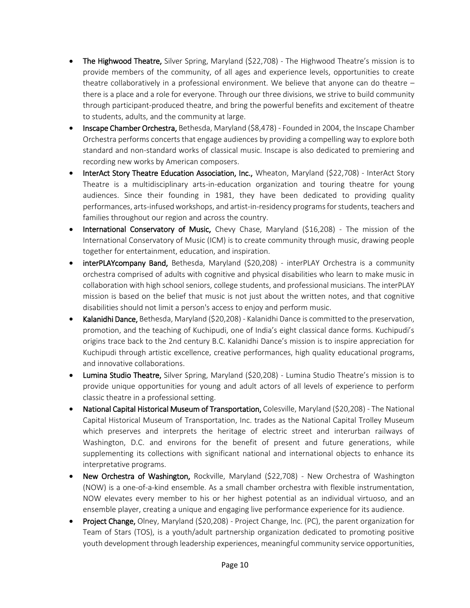- The Highwood Theatre, Silver Spring, Maryland (\$22,708) The Highwood Theatre's mission is to provide members of the community, of all ages and experience levels, opportunities to create theatre collaboratively in a professional environment. We believe that anyone can do theatre – there is a place and a role for everyone. Through our three divisions, we strive to build community through participant-produced theatre, and bring the powerful benefits and excitement of theatre to students, adults, and the community at large.
- Inscape Chamber Orchestra, Bethesda, Maryland (\$8,478) Founded in 2004, the Inscape Chamber Orchestra performs concerts that engage audiences by providing a compelling way to explore both standard and non-standard works of classical music. Inscape is also dedicated to premiering and recording new works by American composers.
- InterAct Story Theatre Education Association, Inc., Wheaton, Maryland (\$22,708) InterAct Story Theatre is a multidisciplinary arts-in-education organization and touring theatre for young audiences. Since their founding in 1981, they have been dedicated to providing quality performances, arts-infused workshops, and artist-in-residency programs for students, teachers and families throughout our region and across the country.
- International Conservatory of Music, Chevy Chase, Maryland (\$16,208) The mission of the International Conservatory of Music (ICM) is to create community through music, drawing people together for entertainment, education, and inspiration.
- interPLAYcompany Band, Bethesda, Maryland (\$20,208) interPLAY Orchestra is a community orchestra comprised of adults with cognitive and physical disabilities who learn to make music in collaboration with high school seniors, college students, and professional musicians. The interPLAY mission is based on the belief that music is not just about the written notes, and that cognitive disabilities should not limit a person's access to enjoy and perform music.
- Kalanidhi Dance, Bethesda, Maryland (\$20,208) Kalanidhi Dance is committed to the preservation, promotion, and the teaching of Kuchipudi, one of India's eight classical dance forms. Kuchipudi's origins trace back to the 2nd century B.C. Kalanidhi Dance's mission is to inspire appreciation for Kuchipudi through artistic excellence, creative performances, high quality educational programs, and innovative collaborations.
- Lumina Studio Theatre, Silver Spring, Maryland (\$20,208) Lumina Studio Theatre's mission is to provide unique opportunities for young and adult actors of all levels of experience to perform classic theatre in a professional setting.
- National Capital Historical Museum of Transportation, Colesville, Maryland (\$20,208) The National Capital Historical Museum of Transportation, Inc. trades as the National Capital Trolley Museum which preserves and interprets the heritage of electric street and interurban railways of Washington, D.C. and environs for the benefit of present and future generations, while supplementing its collections with significant national and international objects to enhance its interpretative programs.
- New Orchestra of Washington, Rockville, Maryland (\$22,708) New Orchestra of Washington (NOW) is a one-of-a-kind ensemble. As a small chamber orchestra with flexible instrumentation, NOW elevates every member to his or her highest potential as an individual virtuoso, and an ensemble player, creating a unique and engaging live performance experience for its audience.
- Project Change, Olney, Maryland (\$20,208) Project Change, Inc. (PC), the parent organization for Team of Stars (TOS), is a youth/adult partnership organization dedicated to promoting positive youth development through leadership experiences, meaningful community service opportunities,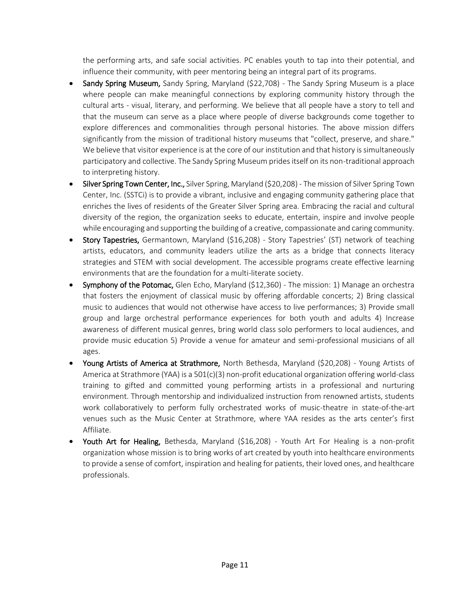the performing arts, and safe social activities. PC enables youth to tap into their potential, and influence their community, with peer mentoring being an integral part of its programs.

- Sandy Spring Museum, Sandy Spring, Maryland (\$22,708) The Sandy Spring Museum is a place where people can make meaningful connections by exploring community history through the cultural arts - visual, literary, and performing. We believe that all people have a story to tell and that the museum can serve as a place where people of diverse backgrounds come together to explore differences and commonalities through personal histories. The above mission differs significantly from the mission of traditional history museums that "collect, preserve, and share." We believe that visitor experience is at the core of our institution and that history is simultaneously participatory and collective. The Sandy Spring Museum prides itself on its non-traditional approach to interpreting history.
- Silver Spring Town Center, Inc., Silver Spring, Maryland (\$20,208) The mission of Silver Spring Town Center, Inc. (SSTCi) is to provide a vibrant, inclusive and engaging community gathering place that enriches the lives of residents of the Greater Silver Spring area. Embracing the racial and cultural diversity of the region, the organization seeks to educate, entertain, inspire and involve people while encouraging and supporting the building of a creative, compassionate and caring community.
- Story Tapestries, Germantown, Maryland (\$16,208) Story Tapestries' (ST) network of teaching artists, educators, and community leaders utilize the arts as a bridge that connects literacy strategies and STEM with social development. The accessible programs create effective learning environments that are the foundation for a multi-literate society.
- Symphony of the Potomac, Glen Echo, Maryland (\$12,360) The mission: 1) Manage an orchestra that fosters the enjoyment of classical music by offering affordable concerts; 2) Bring classical music to audiences that would not otherwise have access to live performances; 3) Provide small group and large orchestral performance experiences for both youth and adults 4) Increase awareness of different musical genres, bring world class solo performers to local audiences, and provide music education 5) Provide a venue for amateur and semi-professional musicians of all ages.
- Young Artists of America at Strathmore, North Bethesda, Maryland (\$20,208) Young Artists of America at Strathmore (YAA) is a 501(c)(3) non-profit educational organization offering world-class training to gifted and committed young performing artists in a professional and nurturing environment. Through mentorship and individualized instruction from renowned artists, students work collaboratively to perform fully orchestrated works of music-theatre in state-of-the-art venues such as the Music Center at Strathmore, where YAA resides as the arts center's first Affiliate.
- Youth Art for Healing, Bethesda, Maryland (\$16,208) Youth Art For Healing is a non-profit organization whose mission is to bring works of art created by youth into healthcare environments to provide a sense of comfort, inspiration and healing for patients, their loved ones, and healthcare professionals.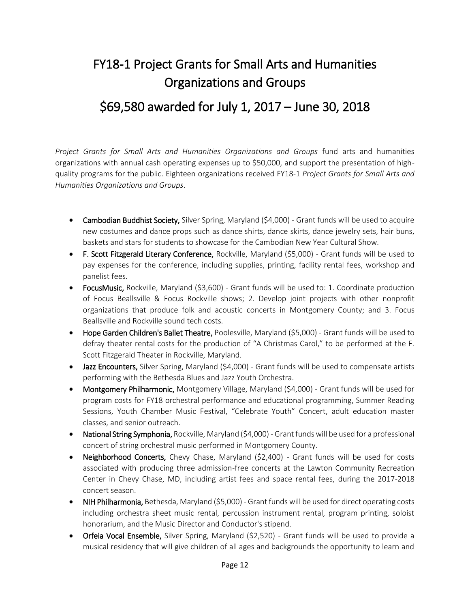### FY18-1 Project Grants for Small Arts and Humanities Organizations and Groups

#### \$69,580 awarded for July 1, 2017 – June 30, 2018

*Project Grants for Small Arts and Humanities Organizations and Groups* fund arts and humanities organizations with annual cash operating expenses up to \$50,000, and support the presentation of highquality programs for the public. Eighteen organizations received FY18-1 *Project Grants for Small Arts and Humanities Organizations and Groups*.

- Cambodian Buddhist Society, Silver Spring, Maryland (\$4,000) Grant funds will be used to acquire new costumes and dance props such as dance shirts, dance skirts, dance jewelry sets, hair buns, baskets and stars for students to showcase for the Cambodian New Year Cultural Show.
- F. Scott Fitzgerald Literary Conference, Rockville, Maryland (\$5,000) Grant funds will be used to pay expenses for the conference, including supplies, printing, facility rental fees, workshop and panelist fees.
- FocusMusic, Rockville, Maryland (\$3,600) Grant funds will be used to: 1. Coordinate production of Focus Beallsville & Focus Rockville shows; 2. Develop joint projects with other nonprofit organizations that produce folk and acoustic concerts in Montgomery County; and 3. Focus Beallsville and Rockville sound tech costs.
- Hope Garden Children's Ballet Theatre, Poolesville, Maryland (\$5,000) Grant funds will be used to defray theater rental costs for the production of "A Christmas Carol," to be performed at the F. Scott Fitzgerald Theater in Rockville, Maryland.
- Jazz Encounters, Silver Spring, Maryland (\$4,000) Grant funds will be used to compensate artists performing with the Bethesda Blues and Jazz Youth Orchestra.
- Montgomery Philharmonic, Montgomery Village, Maryland (\$4,000) Grant funds will be used for program costs for FY18 orchestral performance and educational programming, Summer Reading Sessions, Youth Chamber Music Festival, "Celebrate Youth" Concert, adult education master classes, and senior outreach.
- National String Symphonia, Rockville, Maryland (\$4,000) Grant funds will be used for a professional concert of string orchestral music performed in Montgomery County.
- Neighborhood Concerts, Chevy Chase, Maryland (\$2,400) Grant funds will be used for costs associated with producing three admission-free concerts at the Lawton Community Recreation Center in Chevy Chase, MD, including artist fees and space rental fees, during the 2017-2018 concert season.
- NIH Philharmonia, Bethesda, Maryland (\$5,000) Grant funds will be used for direct operating costs including orchestra sheet music rental, percussion instrument rental, program printing, soloist honorarium, and the Music Director and Conductor's stipend.
- Orfeia Vocal Ensemble, Silver Spring, Maryland (\$2,520) Grant funds will be used to provide a musical residency that will give children of all ages and backgrounds the opportunity to learn and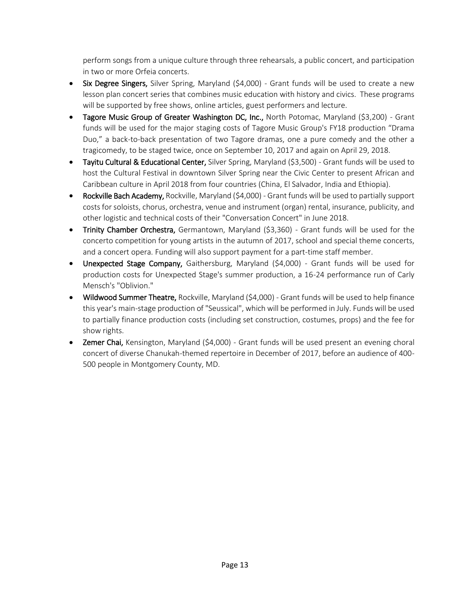perform songs from a unique culture through three rehearsals, a public concert, and participation in two or more Orfeia concerts.

- Six Degree Singers, Silver Spring, Maryland (\$4,000) Grant funds will be used to create a new lesson plan concert series that combines music education with history and civics. These programs will be supported by free shows, online articles, guest performers and lecture.
- Tagore Music Group of Greater Washington DC, Inc., North Potomac, Maryland (\$3,200) Grant funds will be used for the major staging costs of Tagore Music Group's FY18 production "Drama Duo," a back-to-back presentation of two Tagore dramas, one a pure comedy and the other a tragicomedy, to be staged twice, once on September 10, 2017 and again on April 29, 2018.
- Tayitu Cultural & Educational Center, Silver Spring, Maryland (\$3,500) Grant funds will be used to host the Cultural Festival in downtown Silver Spring near the Civic Center to present African and Caribbean culture in April 2018 from four countries (China, El Salvador, India and Ethiopia).
- Rockville Bach Academy, Rockville, Maryland (\$4,000) Grant funds will be used to partially support costs for soloists, chorus, orchestra, venue and instrument (organ) rental, insurance, publicity, and other logistic and technical costs of their "Conversation Concert" in June 2018.
- Trinity Chamber Orchestra, Germantown, Maryland (\$3,360) Grant funds will be used for the concerto competition for young artists in the autumn of 2017, school and special theme concerts, and a concert opera. Funding will also support payment for a part-time staff member.
- Unexpected Stage Company, Gaithersburg, Maryland (\$4,000) Grant funds will be used for production costs for Unexpected Stage's summer production, a 16-24 performance run of Carly Mensch's "Oblivion."
- Wildwood Summer Theatre, Rockville, Maryland (\$4,000) Grant funds will be used to help finance this year's main-stage production of "Seussical", which will be performed in July. Funds will be used to partially finance production costs (including set construction, costumes, props) and the fee for show rights.
- Zemer Chai, Kensington, Maryland (\$4,000) Grant funds will be used present an evening choral concert of diverse Chanukah-themed repertoire in December of 2017, before an audience of 400- 500 people in Montgomery County, MD.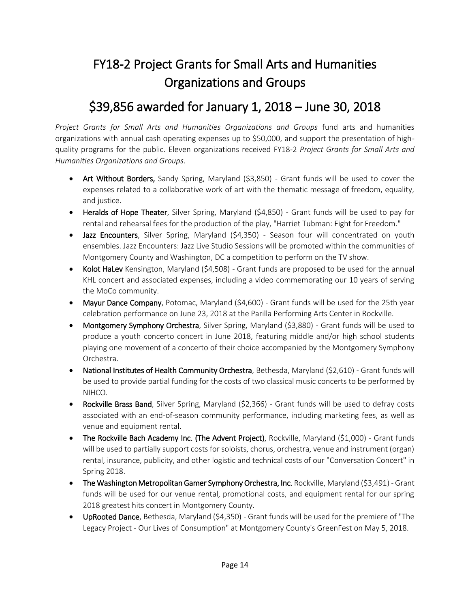### FY18-2 Project Grants for Small Arts and Humanities Organizations and Groups

#### \$39,856 awarded for January 1, 2018 – June 30, 2018

*Project Grants for Small Arts and Humanities Organizations and Groups* fund arts and humanities organizations with annual cash operating expenses up to \$50,000, and support the presentation of highquality programs for the public. Eleven organizations received FY18-2 *Project Grants for Small Arts and Humanities Organizations and Groups*.

- Art Without Borders, Sandy Spring, Maryland (\$3,850) Grant funds will be used to cover the expenses related to a collaborative work of art with the thematic message of freedom, equality, and justice.
- Heralds of Hope Theater, Silver Spring, Maryland (\$4,850) Grant funds will be used to pay for rental and rehearsal fees for the production of the play, "Harriet Tubman: Fight for Freedom."
- Jazz Encounters, Silver Spring, Maryland (\$4,350) Season four will concentrated on youth ensembles. Jazz Encounters: Jazz Live Studio Sessions will be promoted within the communities of Montgomery County and Washington, DC a competition to perform on the TV show.
- Kolot HaLev Kensington, Maryland (\$4,508) Grant funds are proposed to be used for the annual KHL concert and associated expenses, including a video commemorating our 10 years of serving the MoCo community.
- Mayur Dance Company, Potomac, Maryland (\$4,600) Grant funds will be used for the 25th year celebration performance on June 23, 2018 at the Parilla Performing Arts Center in Rockville.
- Montgomery Symphony Orchestra, Silver Spring, Maryland (\$3,880) Grant funds will be used to produce a youth concerto concert in June 2018, featuring middle and/or high school students playing one movement of a concerto of their choice accompanied by the Montgomery Symphony Orchestra.
- National Institutes of Health Community Orchestra, Bethesda, Maryland (\$2,610) Grant funds will be used to provide partial funding for the costs of two classical music concerts to be performed by NIHCO.
- Rockville Brass Band, Silver Spring, Maryland (\$2,366) Grant funds will be used to defray costs associated with an end-of-season community performance, including marketing fees, as well as venue and equipment rental.
- The Rockville Bach Academy Inc. (The Advent Project), Rockville, Maryland (\$1,000) Grant funds will be used to partially support costs for soloists, chorus, orchestra, venue and instrument (organ) rental, insurance, publicity, and other logistic and technical costs of our "Conversation Concert" in Spring 2018.
- The Washington Metropolitan Gamer Symphony Orchestra, Inc. Rockville, Maryland (\$3,491) Grant funds will be used for our venue rental, promotional costs, and equipment rental for our spring 2018 greatest hits concert in Montgomery County.
- UpRooted Dance, Bethesda, Maryland (\$4,350) Grant funds will be used for the premiere of "The Legacy Project - Our Lives of Consumption" at Montgomery County's GreenFest on May 5, 2018.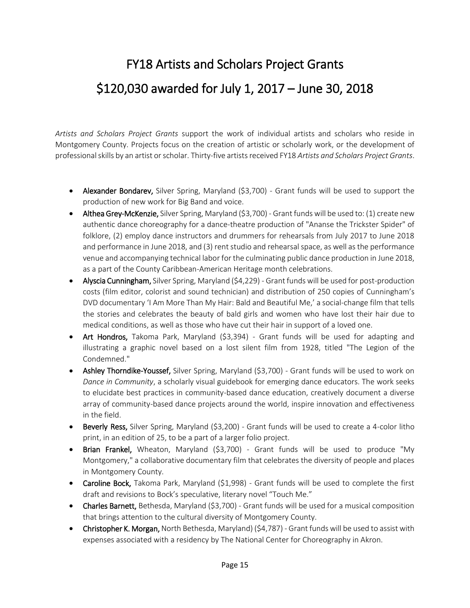# FY18 Artists and Scholars Project Grants \$120,030 awarded for July 1, 2017 – June 30, 2018

*Artists and Scholars Project Grants* support the work of individual artists and scholars who reside in Montgomery County. Projects focus on the creation of artistic or scholarly work, or the development of professional skills by an artist or scholar. Thirty-five artists received FY18 *Artists and Scholars Project Grants*.

- Alexander Bondarev, Silver Spring, Maryland (\$3,700) Grant funds will be used to support the production of new work for Big Band and voice.
- Althea Grey-McKenzie, Silver Spring, Maryland (\$3,700) Grant funds will be used to: (1) create new authentic dance choreography for a dance-theatre production of "Ananse the Trickster Spider" of folklore, (2) employ dance instructors and drummers for rehearsals from July 2017 to June 2018 and performance in June 2018, and (3) rent studio and rehearsal space, as well as the performance venue and accompanying technical labor for the culminating public dance production in June 2018, as a part of the County Caribbean-American Heritage month celebrations.
- Alyscia Cunningham, Silver Spring, Maryland (\$4,229) Grant funds will be used for post-production costs (film editor, colorist and sound technician) and distribution of 250 copies of Cunningham's DVD documentary 'I Am More Than My Hair: Bald and Beautiful Me,' a social-change film that tells the stories and celebrates the beauty of bald girls and women who have lost their hair due to medical conditions, as well as those who have cut their hair in support of a loved one.
- Art Hondros, Takoma Park, Maryland (\$3,394) Grant funds will be used for adapting and illustrating a graphic novel based on a lost silent film from 1928, titled "The Legion of the Condemned."
- Ashley Thorndike-Youssef, Silver Spring, Maryland (\$3,700) Grant funds will be used to work on *Dance in Community*, a scholarly visual guidebook for emerging dance educators. The work seeks to elucidate best practices in community-based dance education, creatively document a diverse array of community-based dance projects around the world, inspire innovation and effectiveness in the field.
- **Beverly Ress,** Silver Spring, Maryland (\$3,200) Grant funds will be used to create a 4-color litho print, in an edition of 25, to be a part of a larger folio project.
- Brian Frankel, Wheaton, Maryland (\$3,700) Grant funds will be used to produce "My Montgomery," a collaborative documentary film that celebrates the diversity of people and places in Montgomery County.
- Caroline Bock, Takoma Park, Maryland (\$1,998) Grant funds will be used to complete the first draft and revisions to Bock's speculative, literary novel "Touch Me."
- Charles Barnett, Bethesda, Maryland (\$3,700) Grant funds will be used for a musical composition that brings attention to the cultural diversity of Montgomery County.
- Christopher K. Morgan, North Bethesda, Maryland) (\$4,787) Grant funds will be used to assist with expenses associated with a residency by The National Center for Choreography in Akron.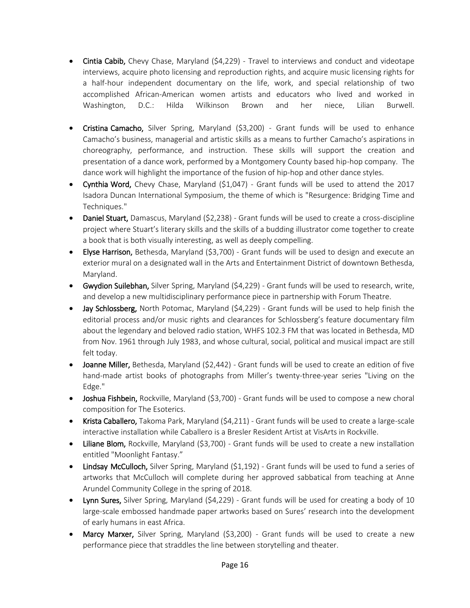- Cintia Cabib, Chevy Chase, Maryland  $(54,229)$  Travel to interviews and conduct and videotape interviews, acquire photo licensing and reproduction rights, and acquire music licensing rights for a half-hour independent documentary on the life, work, and special relationship of two accomplished African-American women artists and educators who lived and worked in Washington, D.C.: Hilda Wilkinson Brown and her niece, Lilian Burwell.
- Cristina Camacho, Silver Spring, Maryland (\$3,200) Grant funds will be used to enhance Camacho's business, managerial and artistic skills as a means to further Camacho's aspirations in choreography, performance, and instruction. These skills will support the creation and presentation of a dance work, performed by a Montgomery County based hip-hop company. The dance work will highlight the importance of the fusion of hip-hop and other dance styles.
- Cynthia Word, Chevy Chase, Maryland (\$1,047) Grant funds will be used to attend the 2017 Isadora Duncan International Symposium, the theme of which is "Resurgence: Bridging Time and Techniques."
- Daniel Stuart, Damascus, Maryland (\$2,238) Grant funds will be used to create a cross-discipline project where Stuart's literary skills and the skills of a budding illustrator come together to create a book that is both visually interesting, as well as deeply compelling.
- Elyse Harrison, Bethesda, Maryland (\$3,700) Grant funds will be used to design and execute an exterior mural on a designated wall in the Arts and Entertainment District of downtown Bethesda, Maryland.
- Gwydion Suilebhan, Silver Spring, Maryland (\$4,229) Grant funds will be used to research, write, and develop a new multidisciplinary performance piece in partnership with Forum Theatre.
- Jay Schlossberg, North Potomac, Maryland (\$4,229) Grant funds will be used to help finish the editorial process and/or music rights and clearances for Schlossberg's feature documentary film about the legendary and beloved radio station, WHFS 102.3 FM that was located in Bethesda, MD from Nov. 1961 through July 1983, and whose cultural, social, political and musical impact are still felt today.
- Joanne Miller, Bethesda, Maryland (\$2,442) Grant funds will be used to create an edition of five hand-made artist books of photographs from Miller's twenty-three-year series "Living on the Edge."
- Joshua Fishbein, Rockville, Maryland (\$3,700) Grant funds will be used to compose a new choral composition for The Esoterics.
- Krista Caballero, Takoma Park, Maryland (\$4,211) Grant funds will be used to create a large-scale interactive installation while Caballero is a Bresler Resident Artist at VisArts in Rockville.
- Liliane Blom, Rockville, Maryland (\$3,700) Grant funds will be used to create a new installation entitled "Moonlight Fantasy."
- Lindsay McCulloch, Silver Spring, Maryland (\$1,192) Grant funds will be used to fund a series of artworks that McCulloch will complete during her approved sabbatical from teaching at Anne Arundel Community College in the spring of 2018.
- Lynn Sures, Silver Spring, Maryland (\$4,229) Grant funds will be used for creating a body of 10 large-scale embossed handmade paper artworks based on Sures' research into the development of early humans in east Africa.
- Marcy Marxer, Silver Spring, Maryland (\$3,200) Grant funds will be used to create a new performance piece that straddles the line between storytelling and theater.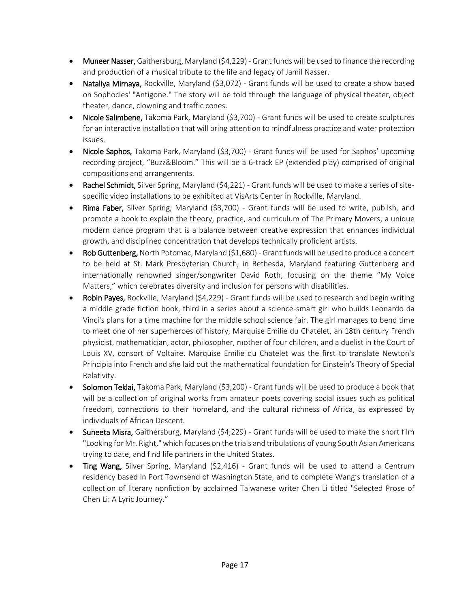- Muneer Nasser, Gaithersburg, Maryland (\$4,229) Grant funds will be used to finance the recording and production of a musical tribute to the life and legacy of Jamil Nasser.
- Nataliya Mirnaya, Rockville, Maryland (\$3,072) Grant funds will be used to create a show based on Sophocles' "Antigone." The story will be told through the language of physical theater, object theater, dance, clowning and traffic cones.
- Nicole Salimbene, Takoma Park, Maryland (\$3,700) Grant funds will be used to create sculptures for an interactive installation that will bring attention to mindfulness practice and water protection issues.
- Nicole Saphos, Takoma Park, Maryland (\$3,700) Grant funds will be used for Saphos' upcoming recording project, "Buzz&Bloom." This will be a 6-track EP (extended play) comprised of original compositions and arrangements.
- Rachel Schmidt, Silver Spring, Maryland (\$4,221) Grant funds will be used to make a series of sitespecific video installations to be exhibited at VisArts Center in Rockville, Maryland.
- Rima Faber, Silver Spring, Maryland (\$3,700) Grant funds will be used to write, publish, and promote a book to explain the theory, practice, and curriculum of The Primary Movers, a unique modern dance program that is a balance between creative expression that enhances individual growth, and disciplined concentration that develops technically proficient artists.
- Rob Guttenberg, North Potomac, Maryland (\$1,680) Grant funds will be used to produce a concert to be held at St. Mark Presbyterian Church, in Bethesda, Maryland featuring Guttenberg and internationally renowned singer/songwriter David Roth, focusing on the theme "My Voice Matters," which celebrates diversity and inclusion for persons with disabilities.
- Robin Payes, Rockville, Maryland (\$4,229) Grant funds will be used to research and begin writing a middle grade fiction book, third in a series about a science-smart girl who builds Leonardo da Vinci's plans for a time machine for the middle school science fair. The girl manages to bend time to meet one of her superheroes of history, Marquise Emilie du Chatelet, an 18th century French physicist, mathematician, actor, philosopher, mother of four children, and a duelist in the Court of Louis XV, consort of Voltaire. Marquise Emilie du Chatelet was the first to translate Newton's Principia into French and she laid out the mathematical foundation for Einstein's Theory of Special Relativity.
- Solomon Teklai, Takoma Park, Maryland (\$3,200) Grant funds will be used to produce a book that will be a collection of original works from amateur poets covering social issues such as political freedom, connections to their homeland, and the cultural richness of Africa, as expressed by individuals of African Descent.
- Suneeta Misra, Gaithersburg, Maryland (\$4,229) Grant funds will be used to make the short film "Looking for Mr. Right," which focuses on the trials and tribulations of young South Asian Americans trying to date, and find life partners in the United States.
- Ting Wang, Silver Spring, Maryland (\$2,416) Grant funds will be used to attend a Centrum residency based in Port Townsend of Washington State, and to complete Wang's translation of a collection of literary nonfiction by acclaimed Taiwanese writer Chen Li titled "Selected Prose of Chen Li: A Lyric Journey."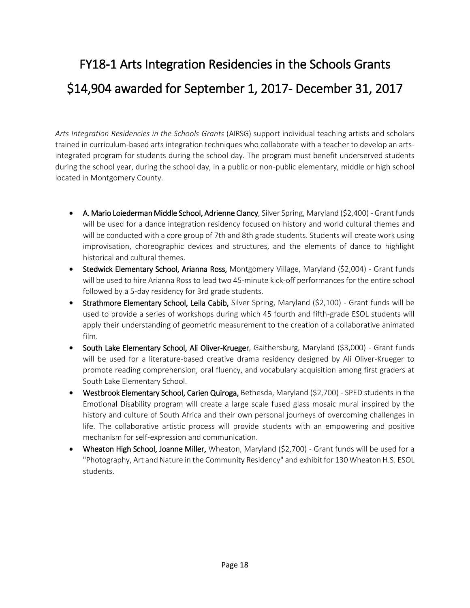### FY18-1 Arts Integration Residencies in the Schools Grants \$14,904 awarded for September 1, 2017- December 31, 2017

*Arts Integration Residencies in the Schools Grants* (AIRSG) support individual teaching artists and scholars trained in curriculum-based arts integration techniques who collaborate with a teacher to develop an artsintegrated program for students during the school day. The program must benefit underserved students during the school year, during the school day, in a public or non-public elementary, middle or high school located in Montgomery County.

- A. Mario Loiederman Middle School, Adrienne Clancy, Silver Spring, Maryland (\$2,400) Grant funds will be used for a dance integration residency focused on history and world cultural themes and will be conducted with a core group of 7th and 8th grade students. Students will create work using improvisation, choreographic devices and structures, and the elements of dance to highlight historical and cultural themes.
- Stedwick Elementary School, Arianna Ross, Montgomery Village, Maryland (\$2,004) Grant funds will be used to hire Arianna Ross to lead two 45-minute kick-off performances for the entire school followed by a 5-day residency for 3rd grade students.
- Strathmore Elementary School, Leila Cabib, Silver Spring, Maryland (\$2,100) Grant funds will be used to provide a series of workshops during which 45 fourth and fifth-grade ESOL students will apply their understanding of geometric measurement to the creation of a collaborative animated film.
- South Lake Elementary School, Ali Oliver-Krueger, Gaithersburg, Maryland (\$3,000) Grant funds will be used for a literature-based creative drama residency designed by Ali Oliver-Krueger to promote reading comprehension, oral fluency, and vocabulary acquisition among first graders at South Lake Elementary School.
- Westbrook Elementary School, Carien Quiroga, Bethesda, Maryland (\$2,700) SPED students in the Emotional Disability program will create a large scale fused glass mosaic mural inspired by the history and culture of South Africa and their own personal journeys of overcoming challenges in life. The collaborative artistic process will provide students with an empowering and positive mechanism for self-expression and communication.
- Wheaton High School, Joanne Miller, Wheaton, Maryland (\$2,700) Grant funds will be used for a "Photography, Art and Nature in the Community Residency" and exhibit for 130 Wheaton H.S. ESOL students.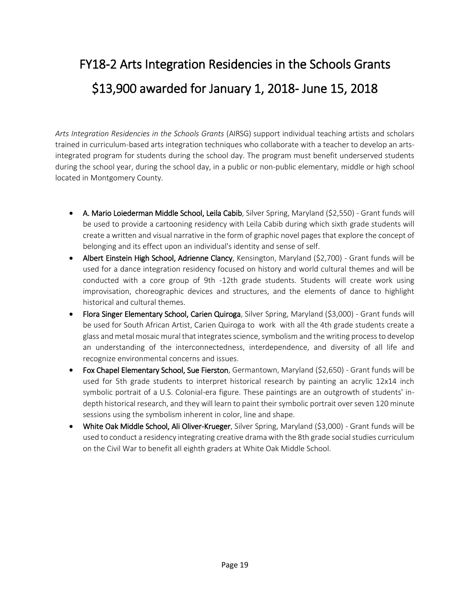### FY18-2 Arts Integration Residencies in the Schools Grants \$13,900 awarded for January 1, 2018- June 15, 2018

*Arts Integration Residencies in the Schools Grants* (AIRSG) support individual teaching artists and scholars trained in curriculum-based arts integration techniques who collaborate with a teacher to develop an artsintegrated program for students during the school day. The program must benefit underserved students during the school year, during the school day, in a public or non-public elementary, middle or high school located in Montgomery County.

- A. Mario Loiederman Middle School, Leila Cabib, Silver Spring, Maryland (\$2,550) Grant funds will be used to provide a cartooning residency with Leila Cabib during which sixth grade students will create a written and visual narrative in the form of graphic novel pages that explore the concept of belonging and its effect upon an individual's identity and sense of self.
- Albert Einstein High School, Adrienne Clancy, Kensington, Maryland (\$2,700) Grant funds will be used for a dance integration residency focused on history and world cultural themes and will be conducted with a core group of 9th -12th grade students. Students will create work using improvisation, choreographic devices and structures, and the elements of dance to highlight historical and cultural themes.
- Flora Singer Elementary School, Carien Quiroga, Silver Spring, Maryland (\$3,000) Grant funds will be used for South African Artist, Carien Quiroga to work with all the 4th grade students create a glass and metal mosaic mural that integrates science, symbolism and the writing process to develop an understanding of the interconnectedness, interdependence, and diversity of all life and recognize environmental concerns and issues.
- Fox Chapel Elementary School, Sue Fierston, Germantown, Maryland (\$2,650) Grant funds will be used for 5th grade students to interpret historical research by painting an acrylic 12x14 inch symbolic portrait of a U.S. Colonial-era figure. These paintings are an outgrowth of students' indepth historical research, and they will learn to paint their symbolic portrait over seven 120 minute sessions using the symbolism inherent in color, line and shape.
- White Oak Middle School, Ali Oliver-Krueger, Silver Spring, Maryland (\$3,000) Grant funds will be used to conduct a residency integrating creative drama with the 8th grade social studies curriculum on the Civil War to benefit all eighth graders at White Oak Middle School.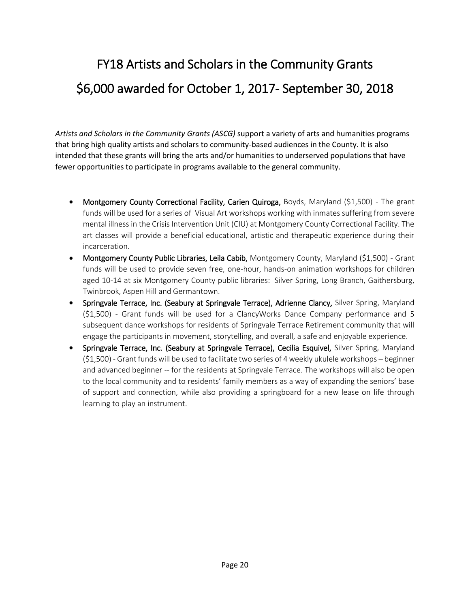# FY18 Artists and Scholars in the Community Grants \$6,000 awarded for October 1, 2017- September 30, 2018

*Artists and Scholars in the Community Grants (ASCG)* support a variety of arts and humanities programs that bring high quality artists and scholars to community-based audiences in the County. It is also intended that these grants will bring the arts and/or humanities to underserved populations that have fewer opportunities to participate in programs available to the general community.

- Montgomery County Correctional Facility, Carien Quiroga, Boyds, Maryland (\$1,500) The grant funds will be used for a series of Visual Art workshops working with inmates suffering from severe mental illness in the Crisis Intervention Unit (CIU) at Montgomery County Correctional Facility. The art classes will provide a beneficial educational, artistic and therapeutic experience during their incarceration.
- Montgomery County Public Libraries, Leila Cabib, Montgomery County, Maryland (\$1,500) Grant funds will be used to provide seven free, one-hour, hands-on animation workshops for children aged 10-14 at six Montgomery County public libraries: Silver Spring, Long Branch, Gaithersburg, Twinbrook, Aspen Hill and Germantown.
- Springvale Terrace, Inc. (Seabury at Springvale Terrace), Adrienne Clancy, Silver Spring, Maryland (\$1,500) - Grant funds will be used for a ClancyWorks Dance Company performance and 5 subsequent dance workshops for residents of Springvale Terrace Retirement community that will engage the participants in movement, storytelling, and overall, a safe and enjoyable experience.
- Springvale Terrace, Inc. (Seabury at Springvale Terrace), Cecilia Esquivel, Silver Spring, Maryland (\$1,500) - Grant funds will be used to facilitate two series of 4 weekly ukulele workshops – beginner and advanced beginner -- for the residents at Springvale Terrace. The workshops will also be open to the local community and to residents' family members as a way of expanding the seniors' base of support and connection, while also providing a springboard for a new lease on life through learning to play an instrument.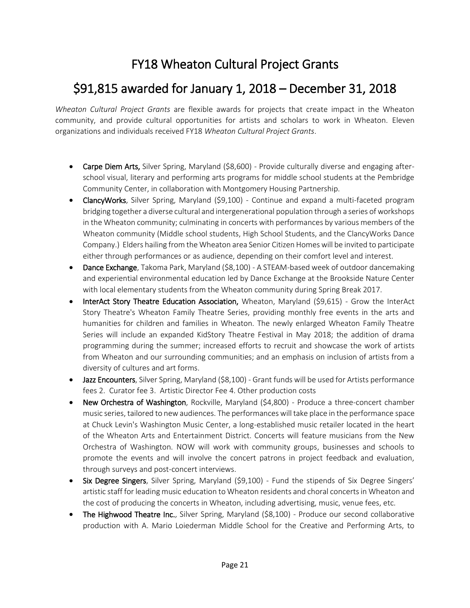#### FY18 Wheaton Cultural Project Grants

#### \$91,815 awarded for January 1, 2018 – December 31, 2018

*Wheaton Cultural Project Grants* are flexible awards for projects that create impact in the Wheaton community, and provide cultural opportunities for artists and scholars to work in Wheaton. Eleven organizations and individuals received FY18 *Wheaton Cultural Project Grants*.

- Carpe Diem Arts, Silver Spring, Maryland (\$8,600) Provide culturally diverse and engaging afterschool visual, literary and performing arts programs for middle school students at the Pembridge Community Center, in collaboration with Montgomery Housing Partnership.
- ClancyWorks, Silver Spring, Maryland (\$9,100) Continue and expand a multi-faceted program bridging together a diverse cultural and intergenerational population through a series of workshops in the Wheaton community; culminating in concerts with performances by various members of the Wheaton community (Middle school students, High School Students, and the ClancyWorks Dance Company.) Elders hailing from the Wheaton area Senior Citizen Homes will be invited to participate either through performances or as audience, depending on their comfort level and interest.
- Dance Exchange, Takoma Park, Maryland (\$8,100) A STEAM-based week of outdoor dancemaking and experiential environmental education led by Dance Exchange at the Brookside Nature Center with local elementary students from the Wheaton community during Spring Break 2017.
- InterAct Story Theatre Education Association, Wheaton, Maryland (\$9,615) Grow the InterAct Story Theatre's Wheaton Family Theatre Series, providing monthly free events in the arts and humanities for children and families in Wheaton. The newly enlarged Wheaton Family Theatre Series will include an expanded KidStory Theatre Festival in May 2018; the addition of drama programming during the summer; increased efforts to recruit and showcase the work of artists from Wheaton and our surrounding communities; and an emphasis on inclusion of artists from a diversity of cultures and art forms.
- Jazz Encounters, Silver Spring, Maryland (\$8,100) Grant funds will be used for Artists performance fees 2. Curator fee 3. Artistic Director Fee 4. Other production costs
- New Orchestra of Washington, Rockville, Maryland (\$4,800) Produce a three-concert chamber music series, tailored to new audiences. The performances will take place in the performance space at Chuck Levin's Washington Music Center, a long-established music retailer located in the heart of the Wheaton Arts and Entertainment District. Concerts will feature musicians from the New Orchestra of Washington. NOW will work with community groups, businesses and schools to promote the events and will involve the concert patrons in project feedback and evaluation, through surveys and post-concert interviews.
- Six Degree Singers, Silver Spring, Maryland (\$9,100) Fund the stipends of Six Degree Singers' artistic staff for leading music education to Wheaton residents and choral concerts in Wheaton and the cost of producing the concerts in Wheaton, including advertising, music, venue fees, etc.
- The Highwood Theatre Inc., Silver Spring, Maryland (\$8,100) Produce our second collaborative production with A. Mario Loiederman Middle School for the Creative and Performing Arts, to